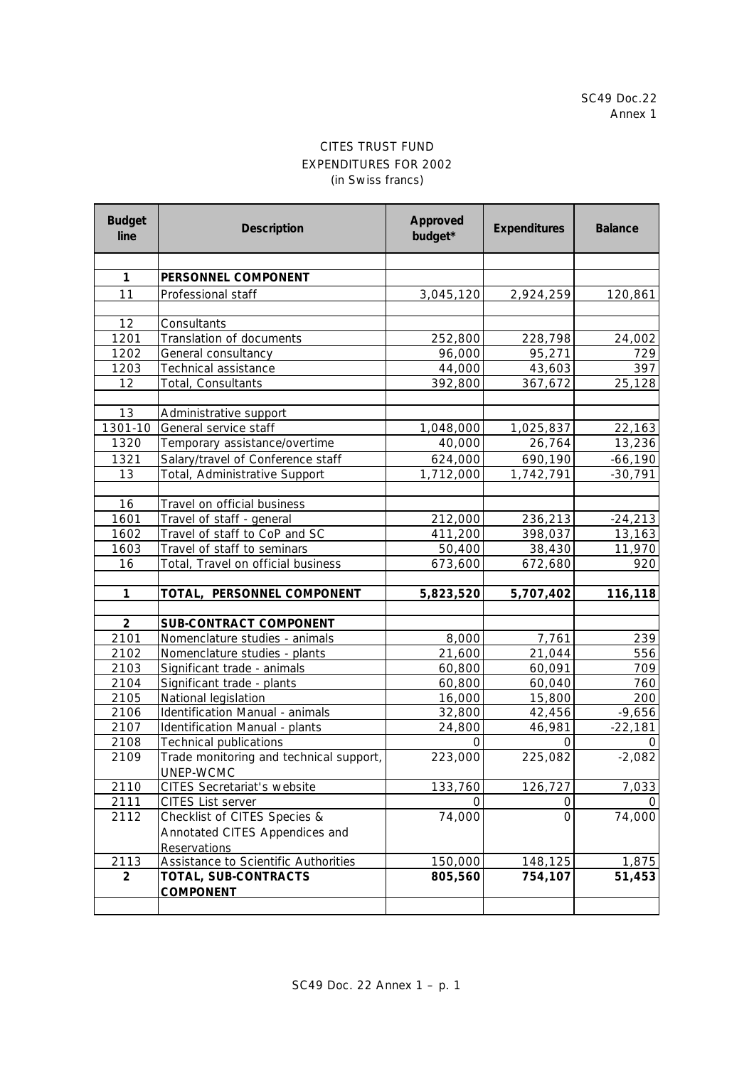## CITES TRUST FUND EXPENDITURES FOR 2002 (in Swiss francs)

| <b>Budget</b><br>line | <b>Description</b>                      | <b>Approved</b><br>budget* | <b>Expenditures</b> | <b>Balance</b> |
|-----------------------|-----------------------------------------|----------------------------|---------------------|----------------|
|                       |                                         |                            |                     |                |
| 1                     | PERSONNEL COMPONENT                     |                            |                     |                |
| 11                    | Professional staff                      | 3,045,120                  | 2,924,259           | 120,861        |
|                       |                                         |                            |                     |                |
| 12                    | Consultants                             |                            |                     |                |
| 1201                  | Translation of documents                | 252,800                    | 228,798             | 24,002         |
| 1202                  | General consultancy                     | 96,000                     | 95,271              | 729            |
| 1203                  | Technical assistance                    | 44,000                     | 43,603              | 397            |
| 12                    | Total, Consultants                      | 392,800                    | 367,672             | 25,128         |
|                       |                                         |                            |                     |                |
| 13                    | Administrative support                  |                            |                     |                |
| $1301 - 10$           | General service staff                   | 1,048,000                  | 1,025,837           | 22,163         |
| 1320                  | Temporary assistance/overtime           | 40,000                     | 26,764              | 13,236         |
| 1321                  | Salary/travel of Conference staff       | 624,000                    | 690,190             | $-66,190$      |
| 13                    | Total, Administrative Support           | 1,712,000                  | 1,742,791           | $-30,791$      |
|                       |                                         |                            |                     |                |
| 16                    | Travel on official business             |                            |                     |                |
| 1601                  | Travel of staff - general               | 212,000                    | 236,213             | $-24,213$      |
| 1602                  | Travel of staff to CoP and SC           | 411,200                    | 398,037             | 13, 163        |
| 1603                  | Travel of staff to seminars             | 50,400                     | 38,430              | 11,970         |
| 16                    | Total, Travel on official business      | 673,600                    | 672,680             | 920            |
| $\mathbf{1}$          | TOTAL, PERSONNEL COMPONENT              | 5,823,520                  | 5,707,402           | 116,118        |
|                       |                                         |                            |                     |                |
| $\overline{2}$        | <b>SUB-CONTRACT COMPONENT</b>           |                            |                     |                |
| 2101                  | Nomenclature studies - animals          | 8,000                      | 7,761               | 239            |
| 2102                  | Nomenclature studies - plants           | 21,600                     | 21,044              | 556            |
| 2103                  | Significant trade - animals             | 60,800                     | 60,091              | 709            |
| 2104                  | Significant trade - plants              | 60,800                     | 60,040              | 760            |
| 2105                  | National legislation                    | 16,000                     | 15,800              | 200            |
| 2106                  | Identification Manual - animals         | 32,800                     | 42,456              | $-9,656$       |
| 2107                  | Identification Manual - plants          | 24,800                     | 46,981              | $-22,181$      |
| 2108                  | <b>Technical publications</b>           | $\Omega$                   | $\Omega$            | 0              |
| 2109                  | Trade monitoring and technical support, | 223,000                    | 225,082             | $-2,082$       |
|                       | UNEP-WCMC                               |                            |                     |                |
| 2110                  | <b>CITES Secretariat's website</b>      | 133,760                    | 126,727             | 7,033          |
| 2111                  | CITES List server                       | O                          | 0                   |                |
| 2112                  | Checklist of CITES Species &            | 74,000                     | $\Omega$            | 74,000         |
|                       | Annotated CITES Appendices and          |                            |                     |                |
|                       | <b>Reservations</b>                     |                            |                     |                |
| 2113                  | Assistance to Scientific Authorities    | 150,000                    | 148,125             | 1,875          |
| $\overline{2}$        | TOTAL, SUB-CONTRACTS                    | 805,560                    | 754,107             | 51,453         |
|                       | <b>COMPONENT</b>                        |                            |                     |                |
|                       |                                         |                            |                     |                |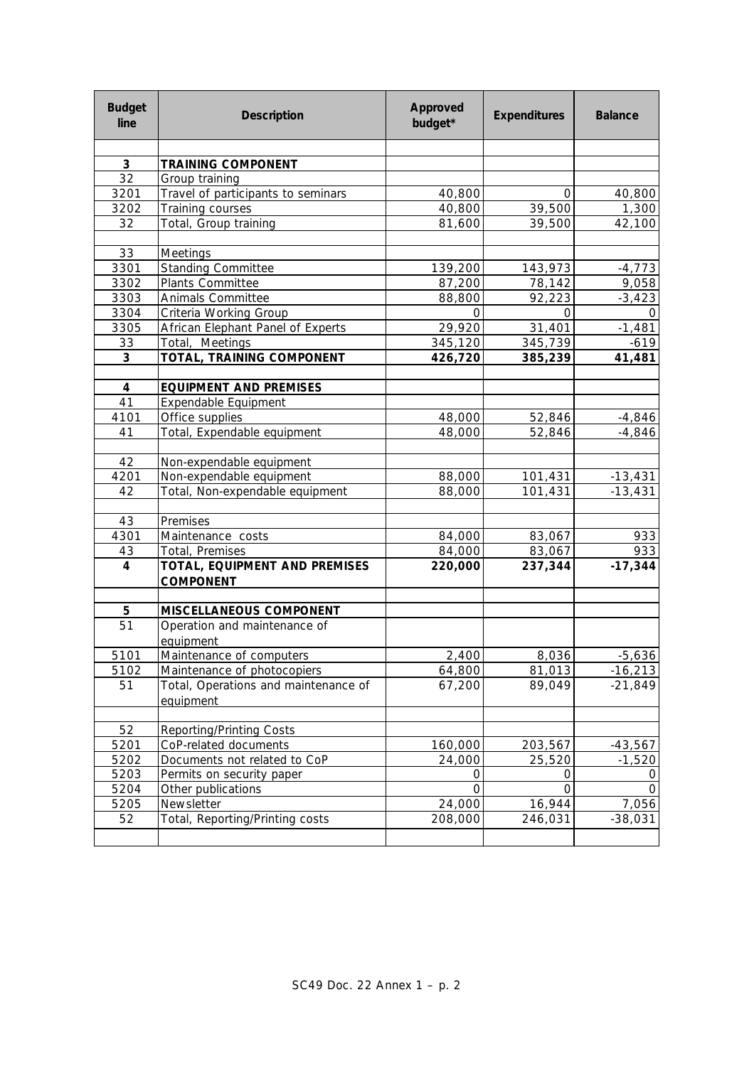| <b>Budget</b><br>line | <b>Description</b>                                | <b>Approved</b><br>budget* | <b>Expenditures</b> | <b>Balance</b>             |
|-----------------------|---------------------------------------------------|----------------------------|---------------------|----------------------------|
|                       |                                                   |                            |                     |                            |
| $\mathbf{3}$          | <b>TRAINING COMPONENT</b>                         |                            |                     |                            |
| 32                    | Group training                                    |                            |                     |                            |
| 3201                  | Travel of participants to seminars                | 40,800                     | Ο                   | 40,800                     |
| 3202                  | Training courses                                  | 40,800                     | 39,500              | 1,300                      |
| 32                    | Total, Group training                             | 81,600                     | 39,500              | 42,100                     |
|                       |                                                   |                            |                     |                            |
| 33                    | Meetings                                          |                            |                     |                            |
| 3301                  | <b>Standing Committee</b>                         | 139,200                    | 143,973             | $-4,773$                   |
| 3302<br>3303          | Plants Committee<br>Animals Committee             | 87,200                     | 78,142              | 9,058                      |
| 3304                  | Criteria Working Group                            | 88,800<br>0                | 92,223<br>0         | $-3,423$                   |
| 3305                  | African Elephant Panel of Experts                 | 29,920                     | 31,401              | $\overline{O}$<br>$-1,481$ |
| 33                    | Total, Meetings                                   | 345,120                    | 345,739             | $-619$                     |
| 3                     | TOTAL, TRAINING COMPONENT                         | 426,720                    | 385,239             | 41,481                     |
|                       |                                                   |                            |                     |                            |
| 4                     | <b>EQUIPMENT AND PREMISES</b>                     |                            |                     |                            |
| 41                    | Expendable Equipment                              |                            |                     |                            |
| 4101                  | Office supplies                                   | 48,000                     | 52,846              | $-4,846$                   |
| 41                    | Total, Expendable equipment                       | 48,000                     | 52,846              | $-4,846$                   |
|                       |                                                   |                            |                     |                            |
| 42                    | Non-expendable equipment                          |                            |                     |                            |
| 4201                  | Non-expendable equipment                          | 88,000                     | 101,431             | $-13,431$                  |
| 42                    | Total, Non-expendable equipment                   | 88,000                     | 101,431             | $-13,431$                  |
|                       |                                                   |                            |                     |                            |
| 43                    | Premises                                          |                            |                     |                            |
| 4301                  | Maintenance costs                                 | 84,000                     | 83,067              | 933                        |
| 43                    | Total, Premises                                   | 84,000                     | 83,067              | 933                        |
| $\overline{4}$        | TOTAL, EQUIPMENT AND PREMISES<br><b>COMPONENT</b> | 220,000                    | 237,344             | $-17,344$                  |
|                       |                                                   |                            |                     |                            |
| 5                     | <b>MISCELLANEOUS COMPONENT</b>                    |                            |                     |                            |
| 51                    | Operation and maintenance of                      |                            |                     |                            |
|                       | equipment                                         |                            |                     |                            |
| 5101                  | Maintenance of computers                          | 2,400                      | 8,036               | $-5,636$                   |
| 5102                  | Maintenance of photocopiers                       | 64,800                     | 81,013              | $-16,213$                  |
| 51                    | Total, Operations and maintenance of              | 67,200                     | 89,049              | $-21,849$                  |
|                       | equipment                                         |                            |                     |                            |
|                       |                                                   |                            |                     |                            |
| 52                    | <b>Reporting/Printing Costs</b>                   |                            |                     |                            |
| 5201                  | CoP-related documents                             | 160,000                    | 203,567             | $-43,567$                  |
| 5202                  | Documents not related to CoP                      | 24,000                     | 25,520              | $-1,520$                   |
| 5203                  | Permits on security paper                         | 0                          | 0                   | O                          |
| 5204                  | Other publications                                | 0                          | 0                   | O                          |
| 5205                  | Newsletter                                        | 24,000                     | 16,944              | 7,056                      |
| 52                    | Total, Reporting/Printing costs                   | 208,000                    | 246,031             | $-38,031$                  |
|                       |                                                   |                            |                     |                            |